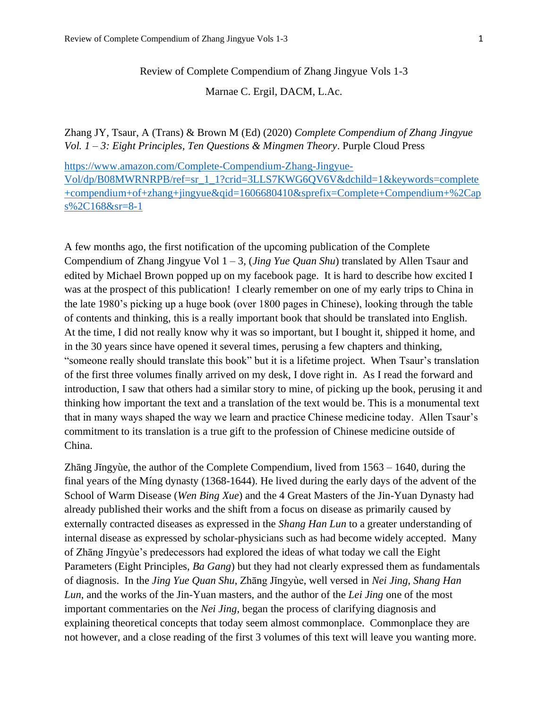Marnae C. Ergil, DACM, L.Ac.

Zhang JY, Tsaur, A (Trans) & Brown M (Ed) (2020) *Complete Compendium of Zhang Jingyue Vol. 1 – 3: Eight Principles, Ten Questions & Mingmen Theory*. Purple Cloud Press

[https://www.amazon.com/Complete-Compendium-Zhang-Jingyue-](https://www.amazon.com/Complete-Compendium-Zhang-Jingyue-Vol/dp/B08MWRNRPB/ref=sr_1_1?crid=3LLS7KWG6QV6V&dchild=1&keywords=complete+compendium+of+zhang+jingyue&qid=1606680410&sprefix=Complete+Compendium+%2Caps%2C168&sr=8-1)[Vol/dp/B08MWRNRPB/ref=sr\\_1\\_1?crid=3LLS7KWG6QV6V&dchild=1&keywords=complete](https://www.amazon.com/Complete-Compendium-Zhang-Jingyue-Vol/dp/B08MWRNRPB/ref=sr_1_1?crid=3LLS7KWG6QV6V&dchild=1&keywords=complete+compendium+of+zhang+jingyue&qid=1606680410&sprefix=Complete+Compendium+%2Caps%2C168&sr=8-1) [+compendium+of+zhang+jingyue&qid=1606680410&sprefix=Complete+Compendium+%2Cap](https://www.amazon.com/Complete-Compendium-Zhang-Jingyue-Vol/dp/B08MWRNRPB/ref=sr_1_1?crid=3LLS7KWG6QV6V&dchild=1&keywords=complete+compendium+of+zhang+jingyue&qid=1606680410&sprefix=Complete+Compendium+%2Caps%2C168&sr=8-1) [s%2C168&sr=8-1](https://www.amazon.com/Complete-Compendium-Zhang-Jingyue-Vol/dp/B08MWRNRPB/ref=sr_1_1?crid=3LLS7KWG6QV6V&dchild=1&keywords=complete+compendium+of+zhang+jingyue&qid=1606680410&sprefix=Complete+Compendium+%2Caps%2C168&sr=8-1)

A few months ago, the first notification of the upcoming publication of the Complete Compendium of Zhang Jingyue Vol 1 – 3, (*Jing Yue Quan Shu*) translated by Allen Tsaur and edited by Michael Brown popped up on my facebook page. It is hard to describe how excited I was at the prospect of this publication! I clearly remember on one of my early trips to China in the late 1980's picking up a huge book (over 1800 pages in Chinese), looking through the table of contents and thinking, this is a really important book that should be translated into English. At the time, I did not really know why it was so important, but I bought it, shipped it home, and in the 30 years since have opened it several times, perusing a few chapters and thinking, "someone really should translate this book" but it is a lifetime project. When Tsaur's translation of the first three volumes finally arrived on my desk, I dove right in. As I read the forward and introduction, I saw that others had a similar story to mine, of picking up the book, perusing it and thinking how important the text and a translation of the text would be. This is a monumental text that in many ways shaped the way we learn and practice Chinese medicine today. Allen Tsaur's commitment to its translation is a true gift to the profession of Chinese medicine outside of China.

Zhāng Jĭngyùe, the author of the Complete Compendium, lived from 1563 – 1640, during the final years of the Míng dynasty (1368-1644). He lived during the early days of the advent of the School of Warm Disease (*Wen Bing Xue*) and the 4 Great Masters of the Jin-Yuan Dynasty had already published their works and the shift from a focus on disease as primarily caused by externally contracted diseases as expressed in the *Shang Han Lun* to a greater understanding of internal disease as expressed by scholar-physicians such as had become widely accepted. Many of Zhāng Jĭngyùe's predecessors had explored the ideas of what today we call the Eight Parameters (Eight Principles, *Ba Gang*) but they had not clearly expressed them as fundamentals of diagnosis. In the *Jing Yue Quan Shu*, Zhāng Jĭngyùe, well versed in *Nei Jing*, *Shang Han Lun*, and the works of the Jin-Yuan masters, and the author of the *Lei Jing* one of the most important commentaries on the *Nei Jing,* began the process of clarifying diagnosis and explaining theoretical concepts that today seem almost commonplace. Commonplace they are not however, and a close reading of the first 3 volumes of this text will leave you wanting more.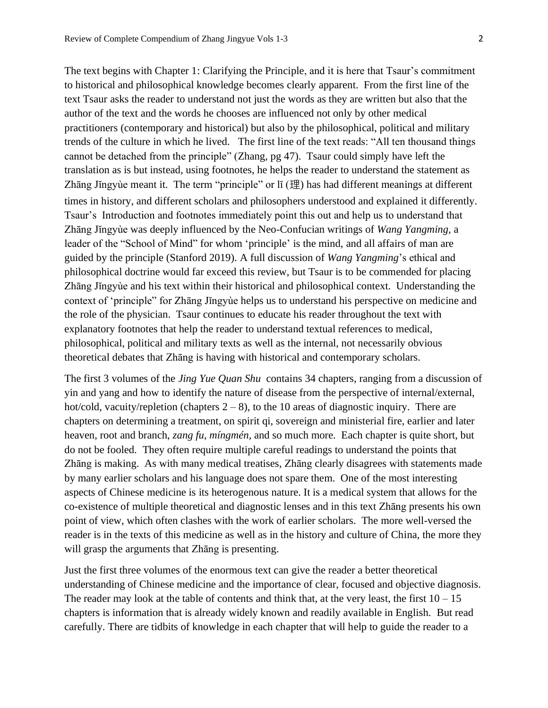The text begins with Chapter 1: Clarifying the Principle, and it is here that Tsaur's commitment to historical and philosophical knowledge becomes clearly apparent. From the first line of the text Tsaur asks the reader to understand not just the words as they are written but also that the author of the text and the words he chooses are influenced not only by other medical practitioners (contemporary and historical) but also by the philosophical, political and military trends of the culture in which he lived. The first line of the text reads: "All ten thousand things cannot be detached from the principle" (Zhang, pg 47). Tsaur could simply have left the translation as is but instead, using footnotes, he helps the reader to understand the statement as Zhāng Jĭngyùe meant it. The term "principle" or lĭ (理) has had different meanings at different times in history, and different scholars and philosophers understood and explained it differently. Tsaur's Introduction and footnotes immediately point this out and help us to understand that Zhāng Jĭngyùe was deeply influenced by the Neo-Confucian writings of *Wang Yangming*, a leader of the "School of Mind" for whom 'principle' is the mind, and all affairs of man are guided by the principle (Stanford 2019). A full discussion of *Wang Yangming*'s ethical and philosophical doctrine would far exceed this review, but Tsaur is to be commended for placing Zhāng Jĭngyùe and his text within their historical and philosophical context. Understanding the context of 'principle" for Zhāng Jĭngyùe helps us to understand his perspective on medicine and the role of the physician. Tsaur continues to educate his reader throughout the text with explanatory footnotes that help the reader to understand textual references to medical, philosophical, political and military texts as well as the internal, not necessarily obvious theoretical debates that Zhāng is having with historical and contemporary scholars.

The first 3 volumes of the *Jing Yue Quan Shu* contains 34 chapters, ranging from a discussion of yin and yang and how to identify the nature of disease from the perspective of internal/external, hot/cold, vacuity/repletion (chapters  $2 - 8$ ), to the 10 areas of diagnostic inquiry. There are chapters on determining a treatment, on spirit qi, sovereign and ministerial fire, earlier and later heaven, root and branch, *zang fu*, *míngmén*, and so much more. Each chapter is quite short, but do not be fooled. They often require multiple careful readings to understand the points that Zhāng is making. As with many medical treatises, Zhāng clearly disagrees with statements made by many earlier scholars and his language does not spare them. One of the most interesting aspects of Chinese medicine is its heterogenous nature. It is a medical system that allows for the co-existence of multiple theoretical and diagnostic lenses and in this text Zhāng presents his own point of view, which often clashes with the work of earlier scholars. The more well-versed the reader is in the texts of this medicine as well as in the history and culture of China, the more they will grasp the arguments that Zhang is presenting.

Just the first three volumes of the enormous text can give the reader a better theoretical understanding of Chinese medicine and the importance of clear, focused and objective diagnosis. The reader may look at the table of contents and think that, at the very least, the first  $10 - 15$ chapters is information that is already widely known and readily available in English. But read carefully. There are tidbits of knowledge in each chapter that will help to guide the reader to a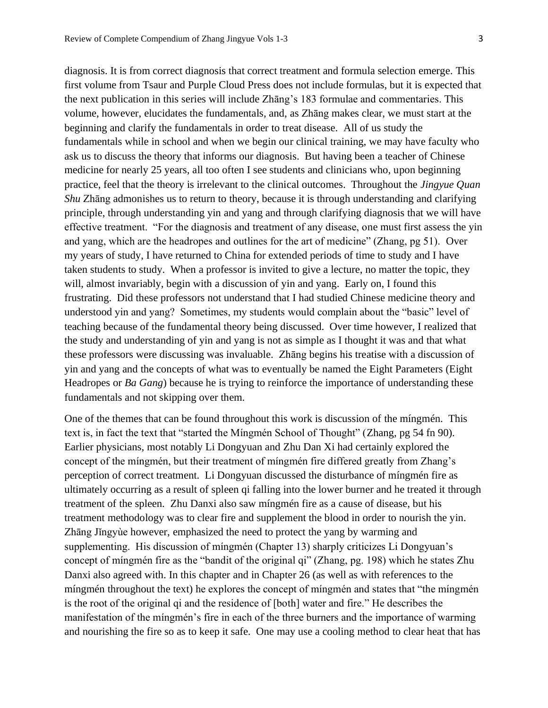diagnosis. It is from correct diagnosis that correct treatment and formula selection emerge. This first volume from Tsaur and Purple Cloud Press does not include formulas, but it is expected that the next publication in this series will include Zhāng's 183 formulae and commentaries. This volume, however, elucidates the fundamentals, and, as Zhāng makes clear, we must start at the beginning and clarify the fundamentals in order to treat disease. All of us study the fundamentals while in school and when we begin our clinical training, we may have faculty who ask us to discuss the theory that informs our diagnosis. But having been a teacher of Chinese medicine for nearly 25 years, all too often I see students and clinicians who, upon beginning practice, feel that the theory is irrelevant to the clinical outcomes. Throughout the *Jingyue Quan Shu* Zhāng admonishes us to return to theory, because it is through understanding and clarifying principle, through understanding yin and yang and through clarifying diagnosis that we will have effective treatment. "For the diagnosis and treatment of any disease, one must first assess the yin and yang, which are the headropes and outlines for the art of medicine" (Zhang, pg 51). Over my years of study, I have returned to China for extended periods of time to study and I have taken students to study. When a professor is invited to give a lecture, no matter the topic, they will, almost invariably, begin with a discussion of yin and yang. Early on, I found this frustrating. Did these professors not understand that I had studied Chinese medicine theory and understood yin and yang? Sometimes, my students would complain about the "basic" level of teaching because of the fundamental theory being discussed. Over time however, I realized that the study and understanding of yin and yang is not as simple as I thought it was and that what these professors were discussing was invaluable. Zhāng begins his treatise with a discussion of yin and yang and the concepts of what was to eventually be named the Eight Parameters (Eight Headropes or *Ba Gang*) because he is trying to reinforce the importance of understanding these fundamentals and not skipping over them.

One of the themes that can be found throughout this work is discussion of the míngmén. This text is, in fact the text that "started the Míngmén School of Thought" (Zhang, pg 54 fn 90). Earlier physicians, most notably Li Dongyuan and Zhu Dan Xi had certainly explored the concept of the míngmén, but their treatment of míngmén fire differed greatly from Zhang's perception of correct treatment. Li Dongyuan discussed the disturbance of míngmén fire as ultimately occurring as a result of spleen qi falling into the lower burner and he treated it through treatment of the spleen. Zhu Danxi also saw míngmén fire as a cause of disease, but his treatment methodology was to clear fire and supplement the blood in order to nourish the yin. Zhāng Jĭngyùe however, emphasized the need to protect the yang by warming and supplementing. His discussion of míngmén (Chapter 13) sharply criticizes Li Dongyuan's concept of míngmén fire as the "bandit of the original qi" (Zhang, pg. 198) which he states Zhu Danxi also agreed with. In this chapter and in Chapter 26 (as well as with references to the míngmén throughout the text) he explores the concept of míngmén and states that "the míngmén is the root of the original qi and the residence of [both] water and fire." He describes the manifestation of the míngmén's fire in each of the three burners and the importance of warming and nourishing the fire so as to keep it safe. One may use a cooling method to clear heat that has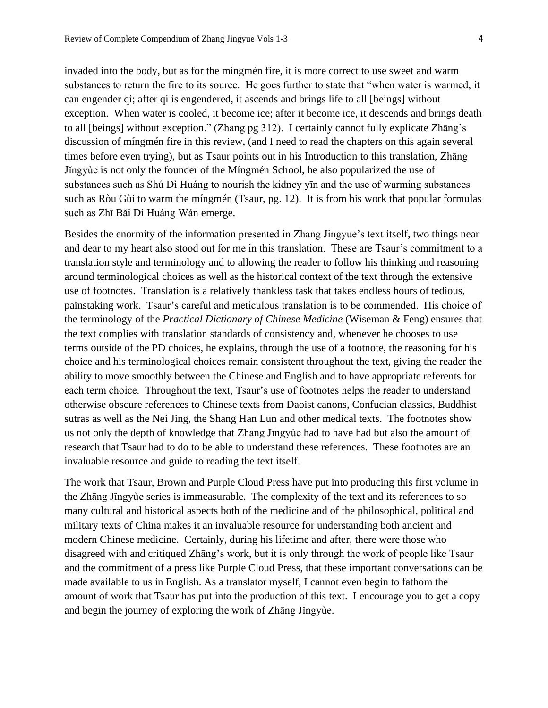invaded into the body, but as for the míngmén fire, it is more correct to use sweet and warm substances to return the fire to its source. He goes further to state that "when water is warmed, it can engender qi; after qi is engendered, it ascends and brings life to all [beings] without exception. When water is cooled, it become ice; after it become ice, it descends and brings death to all [beings] without exception." (Zhang pg 312). I certainly cannot fully explicate Zhāng's discussion of míngmén fire in this review, (and I need to read the chapters on this again several times before even trying), but as Tsaur points out in his Introduction to this translation, Zhāng Jĭngyùe is not only the founder of the Míngmén School, he also popularized the use of substances such as Shú Dì Huáng to nourish the kidney yīn and the use of warming substances such as Ròu Gùi to warm the míngmén (Tsaur, pg. 12). It is from his work that popular formulas such as Zhī Băi Dì Huáng Wán emerge.

Besides the enormity of the information presented in Zhang Jingyue's text itself, two things near and dear to my heart also stood out for me in this translation. These are Tsaur's commitment to a translation style and terminology and to allowing the reader to follow his thinking and reasoning around terminological choices as well as the historical context of the text through the extensive use of footnotes. Translation is a relatively thankless task that takes endless hours of tedious, painstaking work. Tsaur's careful and meticulous translation is to be commended. His choice of the terminology of the *Practical Dictionary of Chinese Medicine* (Wiseman & Feng) ensures that the text complies with translation standards of consistency and, whenever he chooses to use terms outside of the PD choices, he explains, through the use of a footnote, the reasoning for his choice and his terminological choices remain consistent throughout the text, giving the reader the ability to move smoothly between the Chinese and English and to have appropriate referents for each term choice. Throughout the text, Tsaur's use of footnotes helps the reader to understand otherwise obscure references to Chinese texts from Daoist canons, Confucian classics, Buddhist sutras as well as the Nei Jing, the Shang Han Lun and other medical texts. The footnotes show us not only the depth of knowledge that Zhāng Jĭngyùe had to have had but also the amount of research that Tsaur had to do to be able to understand these references. These footnotes are an invaluable resource and guide to reading the text itself.

The work that Tsaur, Brown and Purple Cloud Press have put into producing this first volume in the Zhāng Jĭngyùe series is immeasurable. The complexity of the text and its references to so many cultural and historical aspects both of the medicine and of the philosophical, political and military texts of China makes it an invaluable resource for understanding both ancient and modern Chinese medicine. Certainly, during his lifetime and after, there were those who disagreed with and critiqued Zhāng's work, but it is only through the work of people like Tsaur and the commitment of a press like Purple Cloud Press, that these important conversations can be made available to us in English. As a translator myself, I cannot even begin to fathom the amount of work that Tsaur has put into the production of this text. I encourage you to get a copy and begin the journey of exploring the work of Zhāng Jĭngyùe.